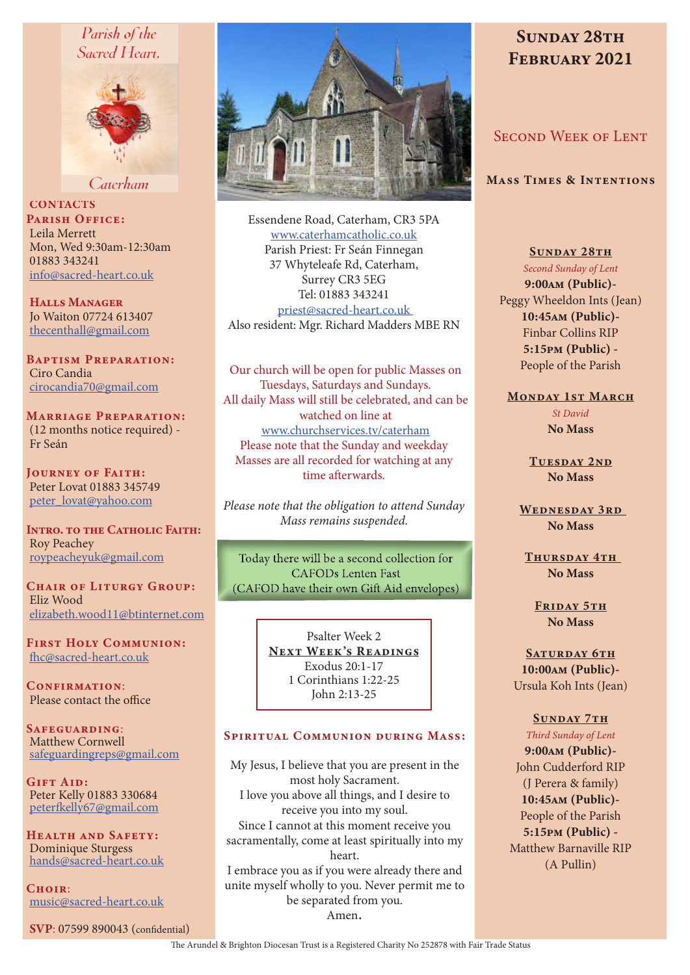# Parish of the Sacred Heart.



Caterham

**CONTACTS** PARISH OFFICE: Leila Merrett Mon, Wed 9:30am-12:30am 01883 343241 info@sacred-heart.co.uk

Halls Manager Jo Waiton 07724 613407 thecenthall@gmail.com

Baptism Preparation: Ciro Candia cirocandia70@gmail.com

Marriage Preparation: (12 months notice required) - Fr Seán

Journey of Faith: Peter Lovat 01883 345749 peter\_lovat@yahoo.com

INTRO. TO THE CATHOLIC FAITH: Roy Peachey roypeacheyuk@gmail.com

CHAIR OF LITURGY GROUP: Eliz Wood elizabeth.wood11@btinternet.com

First Holy Communion: fhc@sacred-heart.co.uk

CONFIRMATION: Please contact the office

SAFEGUARDING: Matthew Cornwell safeguardingreps@gmail.com

Gift Aid: Peter Kelly 01883 330684 peterfkelly67@gmail.com

Health and Safety: Dominique Sturgess hands@sacred-heart.co.uk

 $C$ HOIR $\cdot$ music@sacred-heart.co.uk

SVP: 07599 890043 (confidential)



Essendene Road, Caterham, CR3 5PA www.caterhamcatholic.co.uk Parish Priest: Fr Seán Finnegan 37 Whyteleafe Rd, Caterham, Surrey CR3 5EG Tel: 01883 343241 priest@sacred-heart.co.uk Also resident: Mgr. Richard Madders MBE RN

Our church will be open for public Masses on Tuesdays, Saturdays and Sundays. All daily Mass will still be celebrated, and can be watched on line at www.churchservices.tv/caterham Please note that the Sunday and weekday Masses are all recorded for watching at any time afterwards.

*Please note that the obligation to attend Sunday Mass remains suspended.*

Today there will be a second collection for CAFODs Lenten Fast (CAFOD have their own Gift Aid envelopes)

> Psalter Week 2 NEXT WEEK'S READINGS Exodus 20:1-17 1 Corinthians 1:22-25 John 2:13-25

## Spiritual Communion during Mass:

My Jesus, I believe that you are present in the most holy Sacrament. I love you above all things, and I desire to receive you into my soul. Since I cannot at this moment receive you sacramentally, come at least spiritually into my heart. I embrace you as if you were already there and unite myself wholly to you. Never permit me to be separated from you. Amen.

# SUNDAY 28TH FEBRUARY 2021

# Second Week of Lent

Mass Times & Intentions

SUNDAY 28TH

*Second Sunday of Lent* 9:00am (Public)- Peggy Wheeldon Ints (Jean) 10:45am (Public)- Finbar Collins RIP 5:15pm (Public) - People of the Parish

#### MONDAY 1ST MARCH

*St David* No Mass

TUESDAY 2ND No Mass

WEDNESDAY 3RD No Mass

THURSDAY 4TH No Mass

FRIDAY 5TH No Mass

SATURDAY 6TH 10:00am (Public)- Ursula Koh Ints (Jean)

# SUNDAY 7TH

*Third Sunday of Lent* 9:00am (Public)- John Cudderford RIP (J Perera & family) 10:45am (Public)- People of the Parish 5:15pm (Public) - Matthew Barnaville RIP (A Pullin)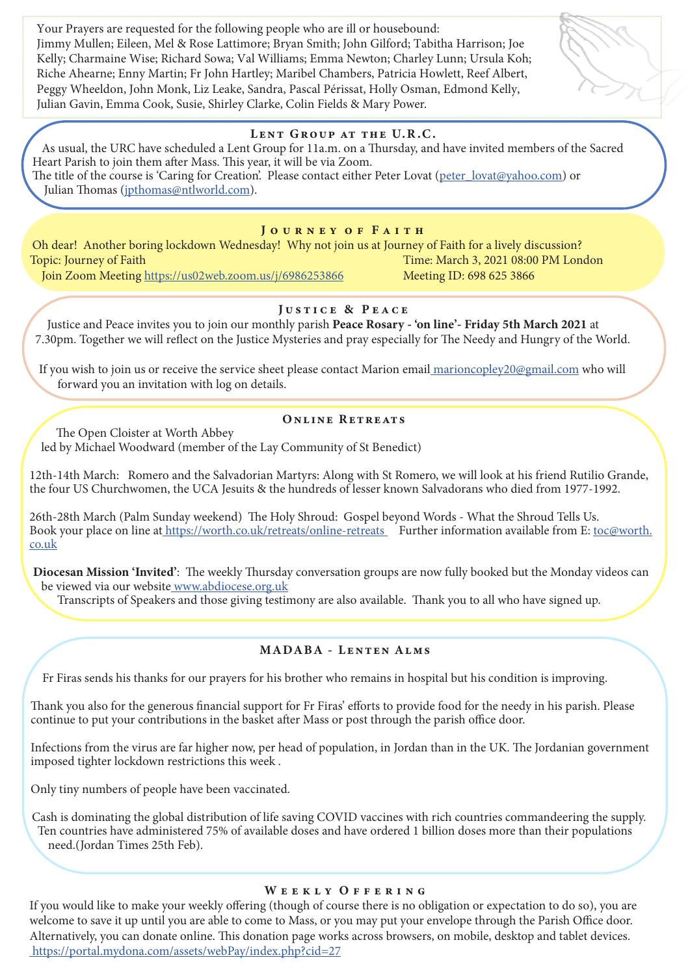Your Prayers are requested for the following people who are ill or housebound: Jimmy Mullen; Eileen, Mel & Rose Lattimore; Bryan Smith; John Gilford; Tabitha Harrison; Joe Kelly; Charmaine Wise; Richard Sowa; Val Williams; Emma Newton; Charley Lunn; Ursula Koh; Riche Ahearne; Enny Martin; Fr John Hartley; Maribel Chambers, Patricia Howlett, Reef Albert, Peggy Wheeldon, John Monk, Liz Leake, Sandra, Pascal Périssat, Holly Osman, Edmond Kelly, Julian Gavin, Emma Cook, Susie, Shirley Clarke, Colin Fields & Mary Power.

## LENT GROUP AT THE U.R.C.

As usual, the URC have scheduled a Lent Group for 11a.m. on a Thursday, and have invited members of the Sacred Heart Parish to join them after Mass. This year, it will be via Zoom. The title of the course is 'Caring for Creation'. Please contact either Peter Lovat (peter\_lovat@yahoo.com) or Julian Thomas (jpthomas@ntlworld.com).

## JOURNEY OF FAITH

Oh dear! Another boring lockdown Wednesday! Why not join us at Journey of Faith for a lively discussion? Topic: Journey of Faith Time: March 3, 2021 08:00 PM London Join Zoom Meeting https://us02web.zoom.us/j/6986253866 Meeting ID: 698 625 3866

# Justice & Peace

Justice and Peace invites you to join our monthly parish Peace Rosary - 'on line'- Friday 5th March 2021 at 7.30pm. Together we will reflect on the Justice Mysteries and pray especially for The Needy and Hungry of the World.

If you wish to join us or receive the service sheet please contact Marion email marioncopley20@gmail.com who will forward you an invitation with log on details.

# Online Retreats

The Open Cloister at Worth Abbey led by Michael Woodward (member of the Lay Community of St Benedict)

12th-14th March: Romero and the Salvadorian Martyrs: Along with St Romero, we will look at his friend Rutilio Grande, the four US Churchwomen, the UCA Jesuits & the hundreds of lesser known Salvadorans who died from 1977-1992.

26th-28th March (Palm Sunday weekend) The Holy Shroud: Gospel beyond Words - What the Shroud Tells Us. Book your place on line at https://worth.co.uk/retreats/online-retreats Further information available from E: toc@worth. co.uk

Diocesan Mission 'Invited': The weekly Thursday conversation groups are now fully booked but the Monday videos can be viewed via our website www.abdiocese.org.uk

Transcripts of Speakers and those giving testimony are also available. Thank you to all who have signed up.

# MADABA - Lenten Alms

Fr Firas sends his thanks for our prayers for his brother who remains in hospital but his condition is improving.

Thank you also for the generous financial support for Fr Firas' efforts to provide food for the needy in his parish. Please continue to put your contributions in the basket after Mass or post through the parish office door.

Infections from the virus are far higher now, per head of population, in Jordan than in the UK. The Jordanian government imposed tighter lockdown restrictions this week .

Only tiny numbers of people have been vaccinated.

Cash is dominating the global distribution of life saving COVID vaccines with rich countries commandeering the supply. Ten countries have administered 75% of available doses and have ordered 1 billion doses more than their populations need.(Jordan Times 25th Feb).

## WEEKLY OFFERING

If you would like to make your weekly offering (though of course there is no obligation or expectation to do so), you are welcome to save it up until you are able to come to Mass, or you may put your envelope through the Parish Office door. Alternatively, you can donate online. This donation page works across browsers, on mobile, desktop and tablet devices. https://portal.mydona.com/assets/webPay/index.php?cid=27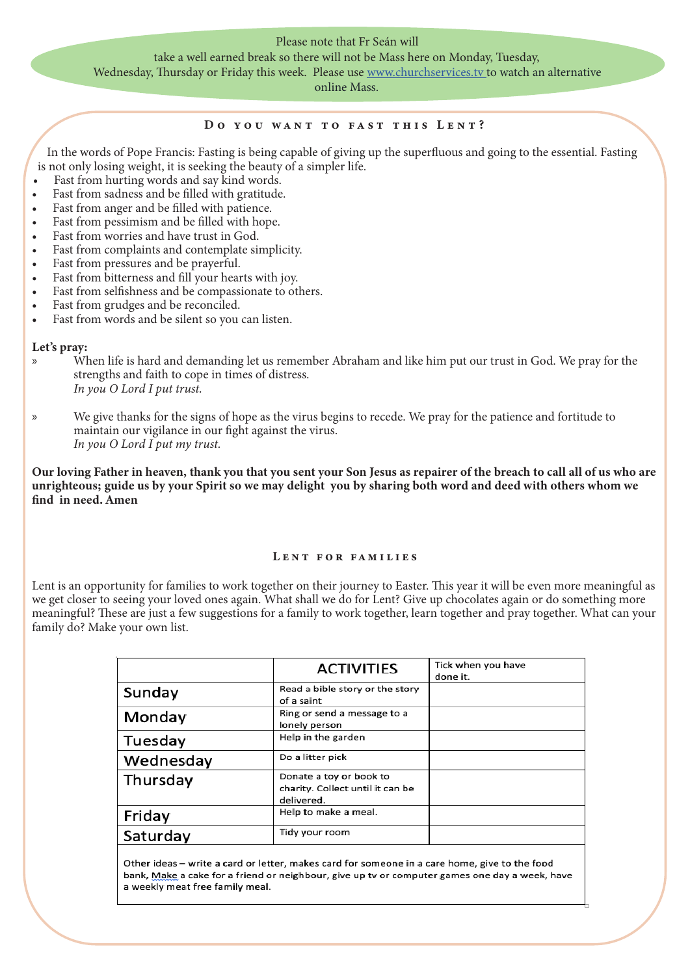## Please note that Fr Seán will take a well earned break so there will not be Mass here on Monday, Tuesday, Wednesday, Thursday or Friday this week. Please use www.churchservices.tv to watch an alternative

online Mass.

#### Do you want to fast this Lent?

In the words of Pope Francis: Fasting is being capable of giving up the superfluous and going to the essential. Fasting is not only losing weight, it is seeking the beauty of a simpler life.

- Fast from hurting words and say kind words.
- Fast from sadness and be filled with gratitude.
- Fast from anger and be filled with patience.
- Fast from pessimism and be filled with hope.
- Fast from worries and have trust in God.
- Fast from complaints and contemplate simplicity.
- Fast from pressures and be prayerful.
- Fast from bitterness and fill your hearts with joy.
- Fast from selfishness and be compassionate to others.
- Fast from grudges and be reconciled.
- Fast from words and be silent so you can listen.

## Let's pray:

- » When life is hard and demanding let us remember Abraham and like him put our trust in God. We pray for the strengths and faith to cope in times of distress. *In you O Lord I put trust.*
- » We give thanks for the signs of hope as the virus begins to recede. We pray for the patience and fortitude to maintain our vigilance in our fight against the virus. *In you O Lord I put my trust.*

Our loving Father in heaven, thank you that you sent your Son Jesus as repairer of the breach to call all of us who are unrighteous; guide us by your Spirit so we may delight you by sharing both word and deed with others whom we find in need. Amen

## Lent for families

Lent is an opportunity for families to work together on their journey to Easter. This year it will be even more meaningful as we get closer to seeing your loved ones again. What shall we do for Lent? Give up chocolates again or do something more meaningful? These are just a few suggestions for a family to work together, learn together and pray together. What can your family do? Make your own list.

|           | <b>ACTIVITIES</b>                                                         | Tick when you have<br>done it. |
|-----------|---------------------------------------------------------------------------|--------------------------------|
| Sunday    | Read a bible story or the story<br>of a saint                             |                                |
| Monday    | Ring or send a message to a<br>lonely person                              |                                |
| Tuesday   | Help in the garden                                                        |                                |
| Wednesday | Do a litter pick                                                          |                                |
| Thursday  | Donate a toy or book to<br>charity. Collect until it can be<br>delivered. |                                |
| Friday    | Help to make a meal.                                                      |                                |
| Saturday  | Tidy your room                                                            |                                |
|           |                                                                           |                                |

Other ideas - write a card or letter, makes card for someone in a care home, give to the food bank, Make a cake for a friend or neighbour, give up tv or computer games one day a week, have a weekly meat free family meal.